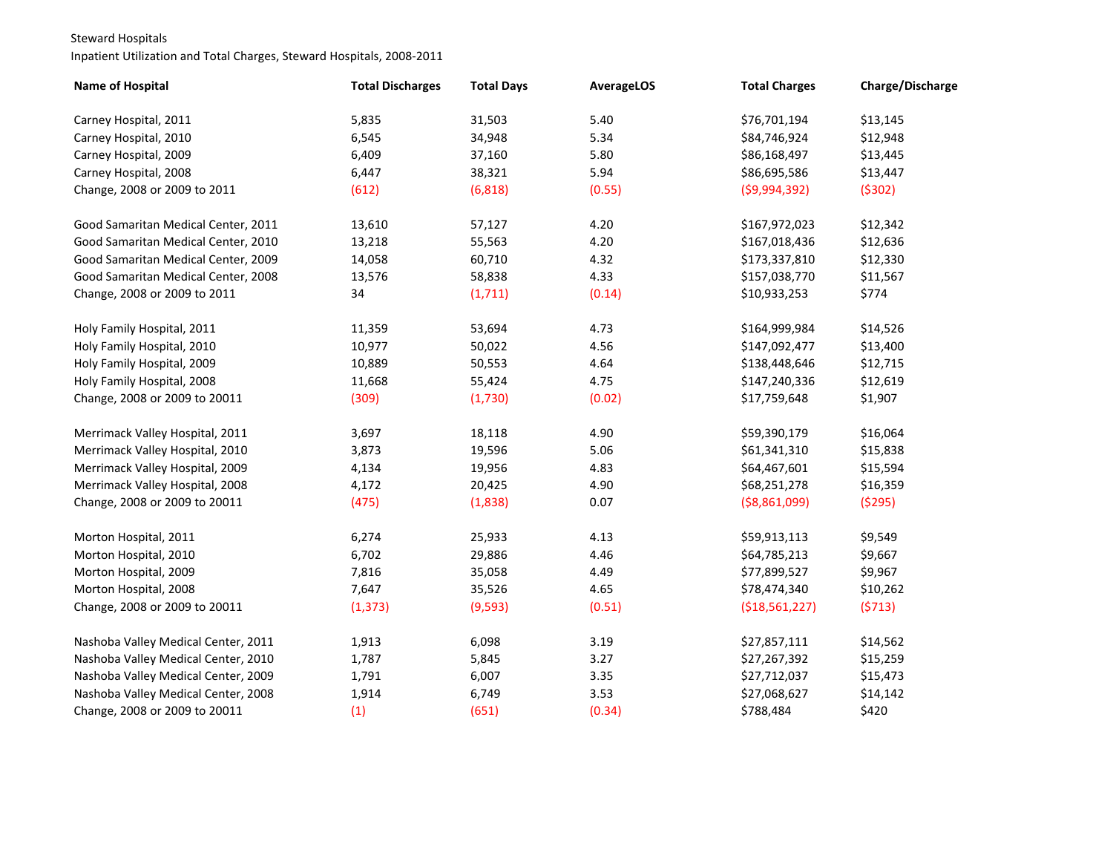## Steward Hospitals

## Inpatient Utilization and Total Charges, Steward Hospitals, 2008-2011

| Name of Hospital                    | <b>Total Discharges</b> | <b>Total Days</b> | <b>AverageLOS</b> | <b>Total Charges</b> | Charge/Discharge |
|-------------------------------------|-------------------------|-------------------|-------------------|----------------------|------------------|
| Carney Hospital, 2011               | 5,835                   | 31,503            | 5.40              | \$76,701,194         | \$13,145         |
| Carney Hospital, 2010               | 6,545                   | 34,948            | 5.34              | \$84,746,924         | \$12,948         |
| Carney Hospital, 2009               | 6,409                   | 37,160            | 5.80              | \$86,168,497         | \$13,445         |
| Carney Hospital, 2008               | 6,447                   | 38,321            | 5.94              | \$86,695,586         | \$13,447         |
| Change, 2008 or 2009 to 2011        | (612)                   | (6, 818)          | (0.55)            | ( \$9,994,392)       | (5302)           |
| Good Samaritan Medical Center, 2011 | 13,610                  | 57,127            | 4.20              | \$167,972,023        | \$12,342         |
| Good Samaritan Medical Center, 2010 | 13,218                  | 55,563            | 4.20              | \$167,018,436        | \$12,636         |
| Good Samaritan Medical Center, 2009 | 14,058                  | 60,710            | 4.32              | \$173,337,810        | \$12,330         |
| Good Samaritan Medical Center, 2008 | 13,576                  | 58,838            | 4.33              | \$157,038,770        | \$11,567         |
| Change, 2008 or 2009 to 2011        | 34                      | (1, 711)          | (0.14)            | \$10,933,253         | \$774            |
| Holy Family Hospital, 2011          | 11,359                  | 53,694            | 4.73              | \$164,999,984        | \$14,526         |
| Holy Family Hospital, 2010          | 10,977                  | 50,022            | 4.56              | \$147,092,477        | \$13,400         |
| Holy Family Hospital, 2009          | 10,889                  | 50,553            | 4.64              | \$138,448,646        | \$12,715         |
| Holy Family Hospital, 2008          | 11,668                  | 55,424            | 4.75              | \$147,240,336        | \$12,619         |
| Change, 2008 or 2009 to 20011       | (309)                   | (1,730)           | (0.02)            | \$17,759,648         | \$1,907          |
| Merrimack Valley Hospital, 2011     | 3,697                   | 18,118            | 4.90              | \$59,390,179         | \$16,064         |
| Merrimack Valley Hospital, 2010     | 3,873                   | 19,596            | 5.06              | \$61,341,310         | \$15,838         |
| Merrimack Valley Hospital, 2009     | 4,134                   | 19,956            | 4.83              | \$64,467,601         | \$15,594         |
| Merrimack Valley Hospital, 2008     | 4,172                   | 20,425            | 4.90              | \$68,251,278         | \$16,359         |
| Change, 2008 or 2009 to 20011       | (475)                   | (1,838)           | 0.07              | ( \$8,861,099)       | (5295)           |
| Morton Hospital, 2011               | 6,274                   | 25,933            | 4.13              | \$59,913,113         | \$9,549          |
| Morton Hospital, 2010               | 6,702                   | 29,886            | 4.46              | \$64,785,213         | \$9,667          |
| Morton Hospital, 2009               | 7,816                   | 35,058            | 4.49              | \$77,899,527         | \$9,967          |
| Morton Hospital, 2008               | 7,647                   | 35,526            | 4.65              | \$78,474,340         | \$10,262         |
| Change, 2008 or 2009 to 20011       | (1, 373)                | (9, 593)          | (0.51)            | ( \$18,561,227)      | (5713)           |
| Nashoba Valley Medical Center, 2011 | 1,913                   | 6,098             | 3.19              | \$27,857,111         | \$14,562         |
| Nashoba Valley Medical Center, 2010 | 1,787                   | 5,845             | 3.27              | \$27,267,392         | \$15,259         |
| Nashoba Valley Medical Center, 2009 | 1,791                   | 6,007             | 3.35              | \$27,712,037         | \$15,473         |
| Nashoba Valley Medical Center, 2008 | 1,914                   | 6,749             | 3.53              | \$27,068,627         | \$14,142         |
| Change, 2008 or 2009 to 20011       | (1)                     | (651)             | (0.34)            | \$788,484            | \$420            |